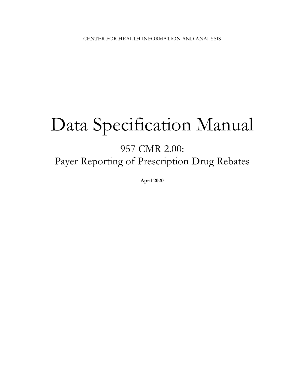# Data Specification Manual

# 957 CMR 2.00: Payer Reporting of Prescription Drug Rebates

**April 2020**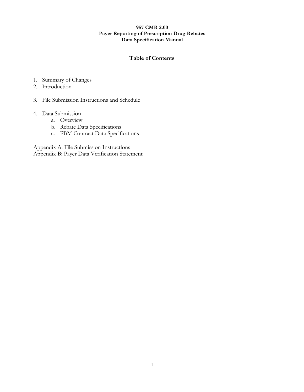#### **Table of Contents**

- 1. Summary of Changes
- 2. Introduction
- 3. File Submission Instructions and Schedule

#### 4. Data Submission

- a. Overview
- b. Rebate Data Specifications
- c. PBM Contract Data Specifications

Appendix A: File Submission Instructions Appendix B: Payer Data Verification Statement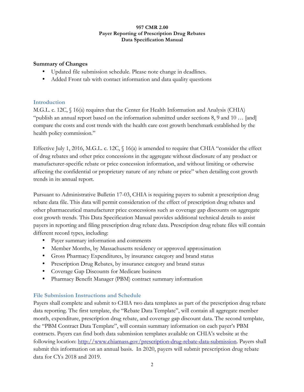#### **Summary of Changes**

- Updated file submission schedule. Please note change in deadlines.
- Added Front tab with contact information and data quality questions

# **Introduction**

M.G.L. c. 12C, § 16(a) requires that the Center for Health Information and Analysis (CHIA) "publish an annual report based on the information submitted under sections 8, 9 and 10 … [and] compare the costs and cost trends with the health care cost growth benchmark established by the health policy commission."

Effective July 1, 2016, M.G.L. c. 12C,  $\S$  16(a) is amended to require that CHIA "consider the effect of drug rebates and other price concessions in the aggregate without disclosure of any product or manufacturer-specific rebate or price concession information, and without limiting or otherwise affecting the confidential or proprietary nature of any rebate or price" when detailing cost growth trends in its annual report.

Pursuant to Administrative Bulletin 17-03, CHIA is requiring payers to submit a prescription drug rebate data file. This data will permit consideration of the effect of prescription drug rebates and other pharmaceutical manufacturer price concessions such as coverage gap discounts on aggregate cost growth trends. This Data Specification Manual provides additional technical details to assist payers in reporting and filing prescription drug rebate data. Prescription drug rebate files will contain different record types, including:

- Payer summary information and comments
- Member Months, by Massachusetts residency or approved approximation
- Gross Pharmacy Expenditures, by insurance category and brand status
- Prescription Drug Rebates, by insurance category and brand status
- Coverage Gap Discounts for Medicare business
- Pharmacy Benefit Manager (PBM) contract summary information

# **File Submission Instructions and Schedule**

Payers shall complete and submit to CHIA two data templates as part of the prescription drug rebate data reporting. The first template, the "Rebate Data Template", will contain all aggregate member month, expenditure, prescription drug rebate, and coverage gap discount data. The second template, the "PBM Contract Data Template", will contain summary information on each payer's PBM contracts. Payers can find both data submission templates available on CHIA's website at the following location: http://www.chiamass.gov/prescription-drug-rebate-data-submission. Payers shall submit this information on an annual basis. In 2020, payers will submit prescription drug rebate data for CYs 2018 and 2019.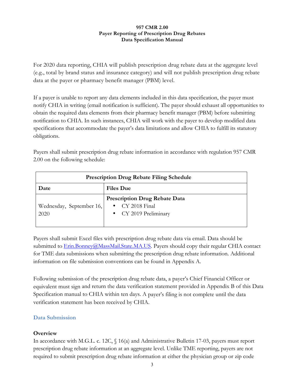For 2020 data reporting, CHIA will publish prescription drug rebate data at the aggregate level (e.g., total by brand status and insurance category) and will not publish prescription drug rebate data at the payer or pharmacy benefit manager (PBM) level.

If a payer is unable to report any data elements included in this data specification, the payer must notify CHIA in writing (email notification is sufficient). The payer should exhaust all opportunities to obtain the required data elements from their pharmacy benefit manager (PBM) before submitting notification to CHIA. In such instances, CHIA will work with the payer to develop modified data specifications that accommodate the payer's data limitations and allow CHIA to fulfill its statutory obligations.

Payers shall submit prescription drug rebate information in accordance with regulation 957 CMR 2.00 on the following schedule:

| <b>Prescription Drug Rebate Filing Schedule</b> |                                                                                  |  |  |
|-------------------------------------------------|----------------------------------------------------------------------------------|--|--|
| Date                                            | <b>Files Due</b>                                                                 |  |  |
| Wednesday, September 16,<br>2020                | <b>Prescription Drug Rebate Data</b><br>• CY 2018 Final<br>• CY 2019 Preliminary |  |  |

Payers shall submit Excel files with prescription drug rebate data via email. Data should be submitted to Erin.Bonney@MassMail.State.MA.US. Payers should copy their regular CHIA contact for TME data submissions when submitting the prescription drug rebate information. Additional information on file submission conventions can be found in Appendix A.

Following submission of the prescription drug rebate data, a payer's Chief Financial Officer or equivalent must sign and return the data verification statement provided in Appendix B of this Data Specification manual to CHIA within ten days. A payer's filing is not complete until the data verification statement has been received by CHIA.

# **Data Submission**

# **Overview**

In accordance with M.G.L. c. 12C, § 16(a) and Administrative Bulletin 17-03, payers must report prescription drug rebate information at an aggregate level. Unlike TME reporting, payers are not required to submit prescription drug rebate information at either the physician group or zip code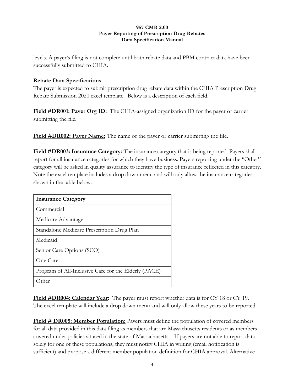levels. A payer's filing is not complete until both rebate data and PBM contract data have been successfully submitted to CHIA.

# **Rebate Data Specifications**

The payer is expected to submit prescription drug rebate data within the CHIA Prescription Drug Rebate Submission 2020 excel template. Below is a description of each field.

**Field #DR001: Payer Org ID:** The CHIA-assigned organization ID for the payer or carrier submitting the file.

**Field #DR002: Payer Name:** The name of the payer or carrier submitting the file.

**Field #DR003: Insurance Category:** The insurance category that is being reported. Payers shall report for all insurance categories for which they have business. Payers reporting under the "Other" category will be asked in quality assurance to identify the type of insurance reflected in this category. Note the excel template includes a drop down menu and will only allow the insurance categories shown in the table below.

| <b>Insurance Category</b>                            |
|------------------------------------------------------|
| Commercial                                           |
| Medicare Advantage                                   |
| Standalone Medicare Prescription Drug Plan           |
| Medicaid                                             |
| Senior Care Options (SCO)                            |
| One Care                                             |
| Program of All-Inclusive Care for the Elderly (PACE) |
| )ther                                                |

**Field #DR004: Calendar Year:** The payer must report whether data is for CY 18 or CY 19. The excel template will include a drop down menu and will only allow these years to be reported.

**Field # DR005: Member Population:** Payers must define the population of covered members for all data provided in this data filing as members that are Massachusetts residents or as members covered under policies sitused in the state of Massachusetts. If payers are not able to report data solely for one of these populations, they must notify CHIA in writing (email notification is sufficient) and propose a different member population definition for CHIA approval. Alternative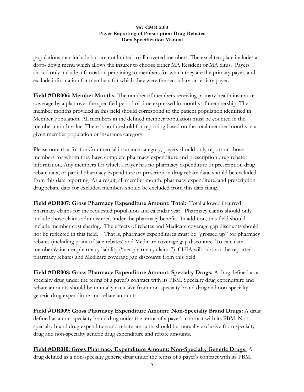populations may include but are not limited to all covered members. The excel template includes a drop- down menu which allows the insurer to choose either MA Resident or MA Situs. Payers should only include information pertaining to members for which they are the primary payer, and exclude information for members for which they were the secondary or tertiary payer.

**Field #DR006: Member Months:** The number of members receiving primary health insurance coverage by a plan over the specified period of time expressed in months of membership. The member months provided in this field should correspond to the patient population identified in Member Population. All members in the defined member population must be counted in the member month value. There is no threshold for reporting based on the total member months in a given member population or insurance category.

Please note that for the Commercial insurance category, payers should only report on those members for whom they have complete pharmacy expenditure and prescription drug rebate information. Any members for which a payer has no pharmacy expenditure or prescription drug rebate data, or partial pharmacy expenditure or prescription drug rebate data, should be excluded from this data reporting. As a result, all member month, pharmacy expenditure, and prescription drug rebate data for excluded members should be excluded from this data filing.

**Field #DR007: Gross Pharmacy Expenditure Amount: Total:** Total allowed incurred pharmacy claims for the requested population and calendar year. Pharmacy claims should only include those claims administered under the pharmacy benefit. In addition, this field should include member cost sharing. The effects of rebates and Medicare coverage gap discounts should not be reflected in this field. That is, pharmacy expenditures must be "grossed up" for pharmacy rebates (including point of sale rebates) and Medicare coverage gap discounts. To calculate member & insurer pharmacy liability ("net pharmacy claims"), CHIA will subtract the reported pharmacy rebates and Medicare coverage gap discounts from this field.

**Field #DR008: Gross Pharmacy Expenditure Amount: Specialty Drugs:** A drug defined as a specialty drug under the terms of a payer's contract with its PBM. Specialty drug expenditure and rebate amounts should be mutually exclusive from non-specialty brand drug and non-specialty generic drug expenditure and rebate amounts.

**Field #DR009: Gross Pharmacy Expenditure Amount: Non-Specialty Brand Drugs:** A drug defined as a non-specialty brand drug under the terms of a payer's contract with its PBM. Nonspecialty brand drug expenditure and rebate amounts should be mutually exclusive from specialty drug and non-specialty generic drug expenditure and rebate amounts.

# **Field #DR010: Gross Pharmacy Expenditure Amount: Non-Specialty Generic Drugs:** A

drug defined as a non-specialty generic drug under the terms of a payer's contract with its PBM.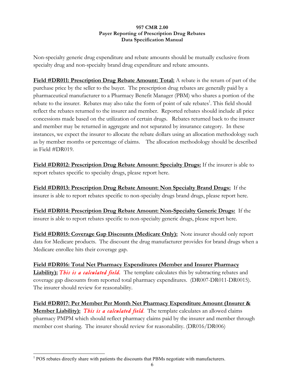Non-specialty generic drug expenditure and rebate amounts should be mutually exclusive from specialty drug and non-specialty brand drug expenditure and rebate amounts.

**Field #DR011: Prescription Drug Rebate Amount: Total:** A rebate is the return of part of the purchase price by the seller to the buyer. The prescription drug rebates are generally paid by a pharmaceutical manufacturer to a Pharmacy Benefit Manager (PBM) who shares a portion of the rebate to the insurer. Rebates may also take the form of point of sale rebates<sup>1</sup>. This field should reflect the rebates returned to the insurer and member. Reported rebates should include all price concessions made based on the utilization of certain drugs. Rebates returned back to the insurer and member may be returned in aggregate and not separated by insurance category. In these instances, we expect the insurer to allocate the rebate dollars using an allocation methodology such as by member months or percentage of claims. The allocation methodology should be described in Field #DR019.

**Field #DR012: Prescription Drug Rebate Amount: Specialty Drugs:** If the insurer is able to report rebates specific to specialty drugs, please report here.

**Field #DR013: Prescription Drug Rebate Amount: Non Specialty Brand Drugs:** If the insurer is able to report rebates specific to non-specialty drugs brand drugs, please report here.

**Field #DR014: Prescription Drug Rebate Amount: Non-Specialty Generic Drugs:** If the insurer is able to report rebates specific to non-specialty generic drugs, please report here.

**Field #DR015: Coverage Gap Discounts (Medicare Only):** Note insurer should only report data for Medicare products. The discount the drug manufacturer provides for brand drugs when a Medicare enrollee hits their coverage gap.

**Field #DR016: Total Net Pharmacy Expenditures (Member and Insurer Pharmacy**  Liability): This is a calculated field. The template calculates this by subtracting rebates and coverage gap discounts from reported total pharmacy expenditures. (DR007-DR011-DR0015). The insurer should review for reasonability.

**Field #DR017: Per Member Per Month Net Pharmacy Expenditure Amount (Insurer & Member Liability):** *This is a calculated field*. The template calculates an allowed claims pharmacy PMPM which should reflect pharmacy claims paid by the insurer and member through member cost sharing. The insurer should review for reasonability. (DR016/DR006)

 $<sup>1</sup>$  POS rebates directly share with patients the discounts that PBMs negotiate with manufacturers.</sup>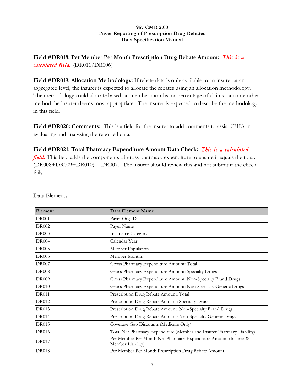# **Field #DR018: Per Member Per Month Prescription Drug Rebate Amount:** *This is a calculated field.* (DR011/DR006)

**Field #DR019: Allocation Methodology:** If rebate data is only available to an insurer at an aggregated level, the insurer is expected to allocate the rebates using an allocation methodology. The methodology could allocate based on member months, or percentage of claims, or some other method the insurer deems most appropriate. The insurer is expected to describe the methodology in this field.

**Field #DR020: Comments:** This is a field for the insurer to add comments to assist CHIA in evaluating and analyzing the reported data.

# **Field #DR021: Total Pharmacy Expenditure Amount Data Check:** *This is a calculated*

*field*. This field adds the components of gross pharmacy expenditure to ensure it equals the total: (DR008+DR009+DR010) = DR007.The insurer should review this and not submit if the check fails.

| Element      | Data Element Name                                                                    |
|--------------|--------------------------------------------------------------------------------------|
| <b>DR001</b> | Payer Org ID                                                                         |
| DR002        | Payer Name                                                                           |
| <b>DR003</b> | <b>Insurance Category</b>                                                            |
| <b>DR004</b> | Calendar Year                                                                        |
| <b>DR005</b> | Member Population                                                                    |
| <b>DR006</b> | Member Months                                                                        |
| <b>DR007</b> | Gross Pharmacy Expenditure Amount: Total                                             |
| <b>DR008</b> | Gross Pharmacy Expenditure Amount: Specialty Drugs                                   |
| <b>DR009</b> | Gross Pharmacy Expenditure Amount: Non-Specialty Brand Drugs                         |
| <b>DR010</b> | Gross Pharmacy Expenditure Amount: Non-Specialty Generic Drugs                       |
| <b>DR011</b> | Prescription Drug Rebate Amount: Total                                               |
| DR012        | Prescription Drug Rebate Amount: Specialty Drugs                                     |
| DR013        | Prescription Drug Rebate Amount: Non-Specialty Brand Drugs                           |
| <b>DR014</b> | Prescription Drug Rebate Amount: Non-Specialty Generic Drugs                         |
| <b>DR015</b> | Coverage Gap Discounts (Medicare Only)                                               |
| <b>DR016</b> | Total Net Pharmacy Expenditure (Member and Insurer Pharmacy Liability)               |
| <b>DR017</b> | Per Member Per Month Net Pharmacy Expenditure Amount (Insurer &<br>Member Liability) |
| <b>DR018</b> | Per Member Per Month Prescription Drug Rebate Amount                                 |

Data Elements: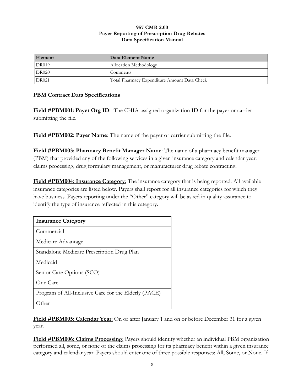| Element      | Data Element Name                            |
|--------------|----------------------------------------------|
| DR019        | Allocation Methodology                       |
| <b>DR020</b> | Comments                                     |
| <b>DR021</b> | Total Pharmacy Expenditure Amount Data Check |

## **PBM Contract Data Specifications**

**Field #PBM001: Payer Org ID:** The CHIA-assigned organization ID for the payer or carrier submitting the file.

**Field #PBM002: Payer Name**: The name of the payer or carrier submitting the file.

**Field #PBM003: Pharmacy Benefit Manager Name**: The name of a pharmacy benefit manager (PBM) that provided any of the following services in a given insurance category and calendar year: claims processing, drug formulary management, or manufacturer drug rebate contracting.

**Field #PBM004: Insurance Category**: The insurance category that is being reported. All available insurance categories are listed below. Payers shall report for all insurance categories for which they have business. Payers reporting under the "Other" category will be asked in quality assurance to identify the type of insurance reflected in this category.

| <b>Insurance Category</b>                            |
|------------------------------------------------------|
| Commercial                                           |
| Medicare Advantage                                   |
| Standalone Medicare Prescription Drug Plan           |
| Medicaid                                             |
| Senior Care Options (SCO)                            |
| One Care                                             |
| Program of All-Inclusive Care for the Elderly (PACE) |
| )ther                                                |

**Field #PBM005: Calendar Year**: On or after January 1 and on or before December 31 for a given year.

**Field #PBM006: Claims Processing**: Payers should identify whether an individual PBM organization performed all, some, or none of the claims processing for its pharmacy benefit within a given insurance category and calendar year. Payers should enter one of three possible responses: All, Some, or None. If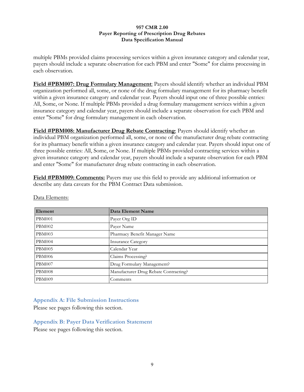multiple PBMs provided claims processing services within a given insurance category and calendar year, payers should include a separate observation for each PBM and enter "Some" for claims processing in each observation.

**Field #PBM007: Drug Formulary Management**: Payers should identify whether an individual PBM organization performed all, some, or none of the drug formulary management for its pharmacy benefit within a given insurance category and calendar year. Payers should input one of three possible entries: All, Some, or None. If multiple PBMs provided a drug formulary management services within a given insurance category and calendar year, payers should include a separate observation for each PBM and enter "Some" for drug formulary management in each observation.

**Field #PBM008: Manufacturer Drug Rebate Contracting**: Payers should identify whether an individual PBM organization performed all, some, or none of the manufacturer drug rebate contracting for its pharmacy benefit within a given insurance category and calendar year. Payers should input one of three possible entries: All, Some, or None. If multiple PBMs provided contracting services within a given insurance category and calendar year, payers should include a separate observation for each PBM and enter "Some" for manufacturer drug rebate contracting in each observation.

**Field #PBM009: Comments:** Payers may use this field to provide any additional information or describe any data caveats for the PBM Contract Data submission.

| Element       | Data Element Name                     |
|---------------|---------------------------------------|
| <b>PBM001</b> | Payer Org ID                          |
| PBM002        | Payer Name                            |
| <b>PBM003</b> | Pharmacy Benefit Manager Name         |
| PBM004        | <b>Insurance Category</b>             |
| <b>PBM005</b> | Calendar Year                         |
| <b>PBM006</b> | Claims Processing?                    |
| <b>PBM007</b> | Drug Formulary Management?            |
| PBM008        | Manufacturer Drug Rebate Contracting? |
| <b>PBM009</b> | Comments                              |

Data Elements:

# **Appendix A: File Submission Instructions**

Please see pages following this section.

#### **Appendix B: Payer Data Verification Statement**

Please see pages following this section.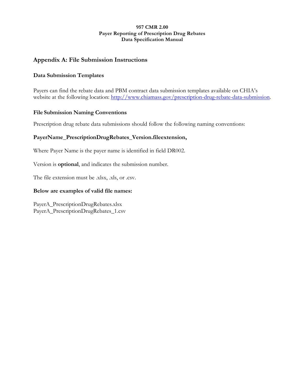# **Appendix A: File Submission Instructions**

# **Data Submission Templates**

Payers can find the rebate data and PBM contract data submission templates available on CHIA's website at the following location: http://www.chiamass.gov/prescription-drug-rebate-data-submission.

## **File Submission Naming Conventions**

Prescription drug rebate data submissions should follow the following naming conventions:

# **PayerName\_PrescriptionDrugRebates\_Version.fileextension,**

Where Payer Name is the payer name is identified in field DR002.

Version is **optional**, and indicates the submission number.

The file extension must be .xlsx, .xls, or .csv.

## **Below are examples of valid file names:**

PayerA\_PrescriptionDrugRebates.xlsx PayerA\_PrescriptionDrugRebates\_1.csv